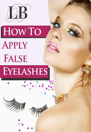

# HOW TO **APPLY FALSE EYELASHES**

TANK

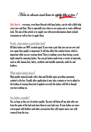How to choose and how to apply like a pro!

Let's face it  $-$  everyone, even those blessed with long lashes, can do with a little help every now and then. This is especially true when we are going out or want a different look. The aim of this article is to supply you with great information about eyelash extensions as well as how to apply them.

#### Firstly, what makes a good false lash?

All false lashes are NOT created equal. If you want a pair that you can use over and over again then quality is important. It will also affect the comfort factor which is important while you are wearing them! There is nothing worse than having a great night ruined by annoying lashes. You can get lashes made from a variety of materials, such as silk, human hair, fabric, synthetic and metallic materials, mink fur and feathers.

#### What makes lashes heavy?

High quality material made with a thin and flexible spine providing maximum comfort is the key. Usually after application it may take a minute or two to adjust to the feeling of wearing them but if applied correctly the lashes will fell as though you have nothing on.

#### Are lashes reusable?

Yes, as long as they are of artistry quality. You just roll them off any glue after use from the spine of the lash and store them in your lash case. If your lashes are more extravagant with feathers and other accessories they will require more care with removal from the tray.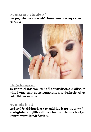#### How long can you wear the lashes for?

Good quality lashes can stay on for up to 24 hours – however do not sleep or shower with them on.



## Is the glue I use important?

Yes. It must be high quality rubber latex glue. Make sure the glue dries clear and leaves no residue. If you are a contact lens wearer, ensure the glue has no odour, is flexible and very comfortable to wear and remove.

#### How much glue do I use?

Less is more! Only a hairline thickness of glue applied along the inner spine is needed for perfect application. You might like to add an extra dab of glue at either end of the lash, as this is the place most likely to lift from the eye.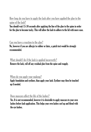# How long do you have to apply the lash after you have applied the glue to the spine of the lash?

You should wait 15-30 seconds after applying the line of the glue to the spine in order for the glue to become tacky. This will allow the lash to adhere to the lid with more ease.

#### Can you have a reaction to the glue?

No, however if you are allergic to rubber or latex, a patch test would be strongly recommended.

#### What should I do if the lash is applied incorrectly?

Remove the lash, roll off any residual glue from the spine and reapply.

#### When do you apply your makeup?

Apply foundation and eyeliner, than apply your lash. Eyeliner may then be touched up if needed.

## Does mascara affect the life of the lashes?

Yes. It is not recommended, however it is desirable to apply mascara to your own lashes before lash application. This helps your own lashes curl up and blend with the eye lashes.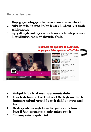## How to apply false lashes.

- 1. Always apply your makeup, eye shadow, liner and mascara to your own lashes first.
- 2. Apply a thin, hairline thickness of glue along the spine of the lash, wait 15 -30 seconds until glue goes tacky.
- 3. Slightly lift the eyelid from the eye brown, rest the spine of the lash in the groove (where the natural lash leaves the skin) and follow the line of the lid.

#### **Click here for tips how to beautifully** apply your false eye-lash in YouTube



- 4. Gently push the tip of the lash inwards to ensure complete adhesion.
- 5. Ensure the false lash sits neatly over the natural lash. Once the glue is dried and the lash is secure, gently push your own lashes into the false lashes to ensure a natural look.
- 6. Open the eye and remove any glue that may have spread between the top and the bottom lid. Remove any excess with eye shadow applicator or wet tip.
- 7. Then reapply eyeliner for a perfect finish.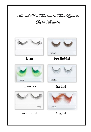





¾ Lash Brown/Blonde Lash



Coloured Lash Crystal Lash



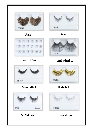